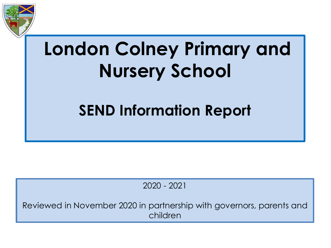

# **London Colney Primary and Nursery School**

### **SEND Information Report**

2020 - 2021

Reviewed in November 2020 in partnership with governors, parents and children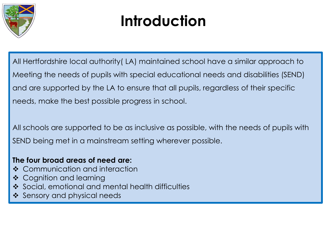

## **Introduction**

All Hertfordshire local authority( LA) maintained school have a similar approach to Meeting the needs of pupils with special educational needs and disabilities (SEND) and are supported by the LA to ensure that all pupils, regardless of their specific needs, make the best possible progress in school.

All schools are supported to be as inclusive as possible, with the needs of pupils with SEND being met in a mainstream setting wherever possible.

#### **The four broad areas of need are:**

- ❖ Communication and interaction
- Cognition and learning
- ◆ Social, emotional and mental health difficulties
- Sensory and physical needs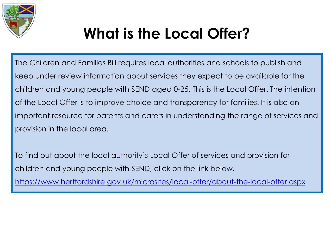

## **What is the Local Offer?**

The Children and Families Bill requires local authorities and schools to publish and keep under review information about services they expect to be available for the children and young people with SEND aged 0-25. This is the Local Offer. The intention of the Local Offer is to improve choice and transparency for families. It is also an important resource for parents and carers in understanding the range of services and provision in the local area.

To find out about the local authority's Local Offer of services and provision for children and young people with SEND, click on the link below.

https://www.hertfordshire.gov.uk/microsites/local-offer/about-the-local-offer.aspx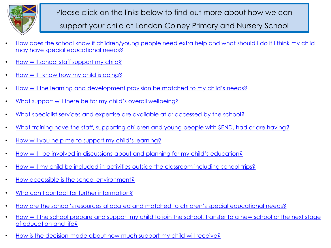

Please click on the links below to find out more about how we can support your child at London Colney Primary and Nursery School

- How does the school know if children/young people need extra help and what should I do if I think my child may have special educational needs?
- How will school staff support my child?
- How will I know how my child is doing?
- How will the learning and development provision be matched to my child's needs?
- What support will there be for my child's overall wellbeing?
- What specialist services and expertise are available at or accessed by the school?
- What training have the staff, supporting children and young people with SEND, had or are having?
- How will you help me to support my child's learning?
- How will I be involved in discussions about and planning for my child's education?
- How will my child be included in activities outside the classroom including school trips?
- How accessible is the school environment?
- Who can I contact for further information?
- How are the school's resources allocated and matched to children's special educational needs?
- How will the school prepare and support my child to join the school, transfer to a new school or the next stage of education and life?
- How is the decision made about how much support my child will receive?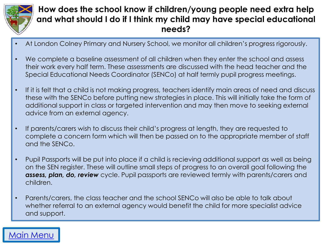

Main Menu

#### **How does the school know if children/young people need extra help and what should I do if I think my child may have special educational needs?**

- At London Colney Primary and Nursery School, we monitor all children's progress rigorously.
- We complete a baseline assessment of all children when they enter the school and assess their work every half term. These assessments are discussed with the head teacher and the Special Educational Needs Coordinator (SENCo) at half termly pupil progress meetings.
- If it is felt that a child is not making progress, teachers identify main areas of need and discuss these with the SENCo before putting new strategies in place. This will initially take the form of additional support in class or targeted intervention and may then move to seeking external advice from an external agency.
- If parents/carers wish to discuss their child's progress at length, they are requested to complete a concern form which will then be passed on to the appropriate member of staff and the SENCo.
- Pupil Passports will be put into place if a child is recieving additional support as well as being on the SEN register. These will outline small steps of progress to an overall goal following the *assess, plan, do, review* cycle. Pupil passports are reviewed termly with parents/carers and children.
- Parents/carers, the class teacher and the school SENCo will also be able to talk about whether referral to an external agency would benefit the child for more specialist advice and support.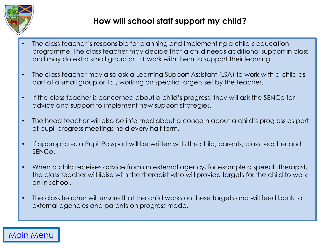

#### **How will school staff support my child?**

- The class teacher is responsible for planning and implementing a child's education programme. The class teacher may decide that a child needs additional support in class and may do extra small group or 1:1 work with them to support their learning.
- The class teacher may also ask a Learning Support Assistant (LSA) to work with a child as part of a small group or 1:1, working on specific targets set by the teacher.
- If the class teacher is concerned about a child's progress, they will ask the SENCo for advice and support to implement new support strategies.
- The head teacher will also be informed about a concern about a child's progress as part of pupil progress meetings held every half term.
- If appropriate, a Pupil Passport will be written with the child, parents, class teacher and SENCo.
- When a child receives advice from an external agency, for example a speech therapist, the class teacher will liaise with the therapist who will provide targets for the child to work on in school.
- The class teacher will ensure that the child works on these targets and will feed back to external agencies and parents on progress made.

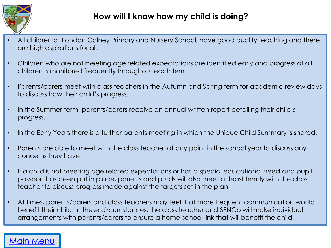

- All children at London Colney Primary and Nursery School, have good quality teaching and there are high aspirations for all.
- Children who are not meeting age related expectations are identified early and progress of all children is monitored frequently throughout each term.
- Parents/carers meet with class teachers in the Autumn and Spring term for academic review days to discuss how their child's progress.
- In the Summer term, parents/carers receive an annual written report detailing their child's progress.
- In the Early Years there is a further parents meeting in which the Unique Child Summary is shared.
- Parents are able to meet with the class teacher at any point in the school year to discuss any concerns they have.
- If a child is not meeting age related expectations or has a special educational need and pupil passport has been put in place, parents and pupils will also meet at least termly with the class teacher to discuss progress made against the targets set in the plan.
- At times, parents/carers and class teachers may feel that more frequent communication would benefit their child. In these circumstances, the class teacher and SENCo will make individual arrangements with parents/carers to ensure a home-school link that will benefit the child.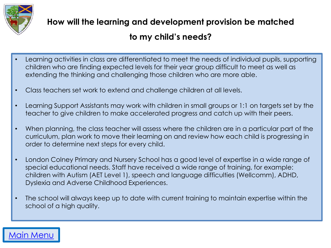

**How will the learning and development provision be matched** 

#### **to my child's needs?**

- Learning activities in class are differentiated to meet the needs of individual pupils, supporting children who are finding expected levels for their year group difficult to meet as well as extending the thinking and challenging those children who are more able.
- Class teachers set work to extend and challenge children at all levels.
- Learning Support Assistants may work with children in small groups or 1:1 on targets set by the teacher to give children to make accelerated progress and catch up with their peers.
- When planning, the class teacher will assess where the children are in a particular part of the curriculum, plan work to move their learning on and review how each child is progressing in order to determine next steps for every child.
- London Colney Primary and Nursery School has a good level of expertise in a wide range of special educational needs. Staff have received a wide range of training, for example: children with Autism (AET Level 1), speech and language difficulties (Wellcomm), ADHD, Dyslexia and Adverse Childhood Experiences.
- The school will always keep up to date with current training to maintain expertise within the school of a high quality.

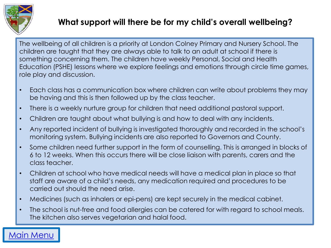

#### **What support will there be for my child's overall wellbeing?**

The wellbeing of all children is a priority at London Colney Primary and Nursery School. The children are taught that they are always able to talk to an adult at school if there is something concerning them. The children have weekly Personal, Social and Health Education (PSHE) lessons where we explore feelings and emotions through circle time games, role play and discussion.

- Each class has a communication box where children can write about problems they may be having and this is then followed up by the class teacher.
- There is a weekly nurture group for children that need additional pastoral support.
- Children are taught about what bullying is and how to deal with any incidents.
- Any reported incident of bullying is investigated thoroughly and recorded in the school's monitoring system. Bullying incidents are also reported to Governors and County.
- Some children need further support in the form of counselling. This is arranged in blocks of 6 to 12 weeks. When this occurs there will be close liaison with parents, carers and the class teacher.
- Children at school who have medical needs will have a medical plan in place so that staff are aware of a child's needs, any medication required and procedures to be carried out should the need arise.
- Medicines (such as inhalers or epi-pens) are kept securely in the medical cabinet.
- The school is nut-free and food allergies can be catered for with regard to school meals. The kitchen also serves vegetarian and halal food.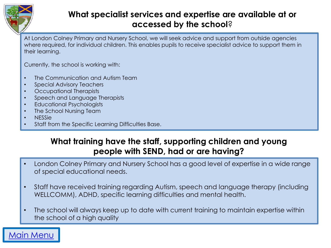

#### **What specialist services and expertise are available at or accessed by the school**?

At London Colney Primary and Nursery School, we will seek advice and support from outside agencies where required, for individual children. This enables pupils to receive specialist advice to support them in their learning.

Currently, the school is working with:

- The Communication and Autism Team
- Special Advisory Teachers
- Occupational Therapists
- Speech and Language Therapists
- Educational Psychologists
- The School Nursing Team
- NESSie
- Staff from the Specific Learning Difficulties Base.

#### **What training have the staff, supporting children and young people with SEND, had or are having?**

- London Colney Primary and Nursery School has a good level of expertise in a wide range of special educational needs.
- Staff have received training regarding Autism, speech and language therapy (including WELLCOMM), ADHD, specific learning difficulties and mental health.
- The school will always keep up to date with current training to maintain expertise within the school of a high quality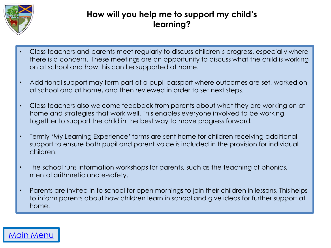

#### **How will you help me to support my child's learning?**

- Class teachers and parents meet regularly to discuss children's progress, especially where there is a concern. These meetings are an opportunity to discuss what the child is working on at school and how this can be supported at home.
- Additional support may form part of a pupil passport where outcomes are set, worked on at school and at home, and then reviewed in order to set next steps.
- Class teachers also welcome feedback from parents about what they are working on at home and strategies that work well. This enables everyone involved to be working together to support the child in the best way to move progress forward.
- Termly 'My Learning Experience' forms are sent home for children receiving additional support to ensure both pupil and parent voice is included in the provision for individual children.
- The school runs information workshops for parents, such as the teaching of phonics, mental arithmetic and e-safety.
- Parents are invited in to school for open mornings to join their children in lessons. This helps to inform parents about how children learn in school and give ideas for further support at home.

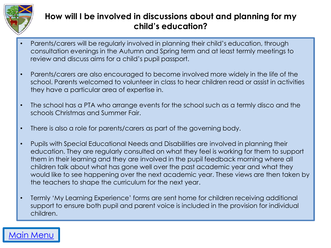

#### **How will I be involved in discussions about and planning for my child's education?**

- Parents/carers will be regularly involved in planning their child's education, through consultation evenings in the Autumn and Spring term and at least termly meetings to review and discuss aims for a child's pupil passport.
- Parents/carers are also encouraged to become involved more widely in the life of the school. Parents welcomed to volunteer in class to hear children read or assist in activities they have a particular area of expertise in.
- The school has a PTA who arrange events for the school such as a termly disco and the schools Christmas and Summer Fair.
- There is also a role for parents/carers as part of the governing body.
- Pupils with Special Educational Needs and Disabilities are involved in planning their education. They are regularly consulted on what they feel is working for them to support them in their learning and they are involved in the pupil feedback morning where all children talk about what has gone well over the past academic year and what they would like to see happening over the next academic year. These views are then taken by the teachers to shape the curriculum for the next year.
- Termly 'My Learning Experience' forms are sent home for children receiving additional support to ensure both pupil and parent voice is included in the provision for individual children.

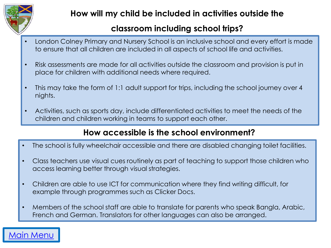

#### **How will my child be included in activities outside the**

#### **classroom including school trips?**

- London Colney Primary and Nursery School is an inclusive school and every effort is made to ensure that all children are included in all aspects of school life and activities.
- Risk assessments are made for all activities outside the classroom and provision is put in place for children with additional needs where required.
- This may take the form of 1:1 adult support for trips, including the school journey over 4 nights.
- Activities, such as sports day, include differentiated activities to meet the needs of the children and children working in teams to support each other.

#### **How accessible is the school environment?**

- The school is fully wheelchair accessible and there are disabled changing toilet facilities.
- Class teachers use visual cues routinely as part of teaching to support those children who access learning better through visual strategies.
- Children are able to use ICT for communication where they find writing difficult, for example through programmes such as Clicker Docs.
- Members of the school staff are able to translate for parents who speak Bangla, Arabic, French and German. Translators for other languages can also be arranged.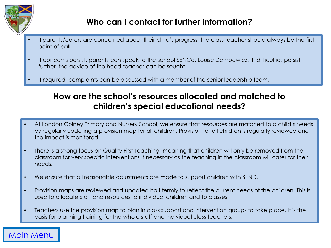

#### **Who can I contact for further information?**

- If parents/carers are concerned about their child's progress, the class teacher should always be the first point of call.
- If concerns persist, parents can speak to the school SENCo, Louise Dembowicz. If difficulties persist further, the advice of the head teacher can be sought.
- If required, complaints can be discussed with a member of the senior leadership team.

#### **How are the school's resources allocated and matched to children's special educational needs?**

- At London Colney Primary and Nursery School, we ensure that resources are matched to a child's needs by regularly updating a provision map for all children. Provision for all children is regularly reviewed and the impact is monitored.
- There is a strong focus on Quality First Teaching, meaning that children will only be removed from the classroom for very specific interventions if necessary as the teaching in the classroom will cater for their needs.
- We ensure that all reasonable adjustments are made to support children with SEND.
- Provision maps are reviewed and updated half termly to reflect the current needs of the children. This is used to allocate staff and resources to individual children and to classes.
- Teachers use the provision map to plan in class support and intervention groups to take place. It is the basis for planning training for the whole staff and individual class teachers.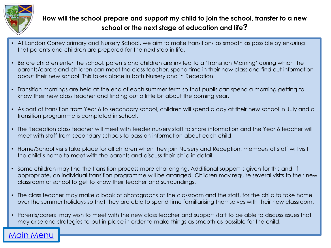

#### **How will the school prepare and support my child to join the school, transfer to a new school or the next stage of education and life?**

- At London Coney primary and Nursery School, we aim to make transitions as smooth as possible by ensuring that parents and children are prepared for the next step in life.
- Before children enter the school, parents and children are invited to a 'Transition Morning' during which the parents/carers and children can meet the class teacher, spend time in their new class and find out information about their new school. This takes place in both Nursery and in Reception.
- Transition mornings are held at the end of each summer term so that pupils can spend a morning getting to know their new class teacher and finding out a little bit about the coming year.
- As part of transition from Year 6 to secondary school, children will spend a day at their new school in July and a transition programme is completed in school.
- The Reception class teacher will meet with feeder nursery staff to share information and the Year 6 teacher will meet with staff from secondary schools to pass on information about each child.
- Home/School visits take place for all children when they join Nursery and Reception, members of staff will visit the child's home to meet with the parents and discuss their child in detail.
- Some children may find the transition process more challenging. Additional support is given for this and, if appropriate, an individual transition programme will be arranged. Children may require several visits to their new classroom or school to get to know their teacher and surroundings.
- The class teacher may make a book of photographs of the classroom and the staff, for the child to take home over the summer holidays so that they are able to spend time familiarising themselves with their new classroom.
- Parents/carers may wish to meet with the new class teacher and support staff to be able to discuss issues that may arise and strategies to put in place in order to make things as smooth as possible for the child.